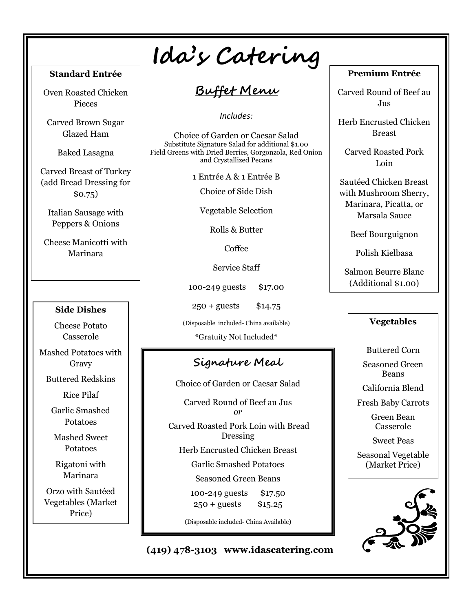## **Standard Entrée**

Oven Roasted Chicken Pieces

Carved Brown Sugar Glazed Ham

Baked Lasagna

Carved Breast of Turkey (add Bread Dressing for \$0.75)

Italian Sausage with Peppers & Onions

Cheese Manicotti with Marinara

#### **Side Dishes**

Cheese Potato Casserole

Mashed Potatoes with Gravy

Buttered Redskins

Rice Pilaf

Garlic Smashed Potatoes

Mashed Sweet Potatoes

Rigatoni with Marinara

Orzo with Sautéed Vegetables (Market Price)

# **Ida's Catering**

## **Buffet Menu**

*Includes:*

Choice of Garden or Caesar Salad Substitute Signature Salad for additional \$1.00 Field Greens with Dried Berries, Gorgonzola, Red Onion and Crystallized Pecans

1 Entrée A & 1 Entrée B

Choice of Side Dish

Vegetable Selection

Rolls & Butter

Coffee

Service Staff

100-249 guests \$17.00

250 + guests \$14.75

(Disposable included- China available)

\*Gratuity Not Included\*

## **Signature Meal**

Choice of Garden or Caesar Salad

Carved Round of Beef au Jus *or* Carved Roasted Pork Loin with Bread Dressing Herb Encrusted Chicken Breast Garlic Smashed Potatoes Seasoned Green Beans

100-249 guests \$17.50 250 + guests \$15.25

(Disposable included- China Available)

## **Premium Entrée**

Carved Round of Beef au Jus

Herb Encrusted Chicken Breast

Carved Roasted Pork Loin

Sautéed Chicken Breast with Mushroom Sherry, Marinara, Picatta, or Marsala Sauce

Beef Bourguignon

Polish Kielbasa

Salmon Beurre Blanc (Additional \$1.00)

## **Vegetables**

Buttered Corn Seasoned Green Beans

California Blend

Fresh Baby Carrots

Green Bean Casserole

Sweet Peas

Seasonal Vegetable (Market Price)



**(419) 478-3103 www.idascatering.com**